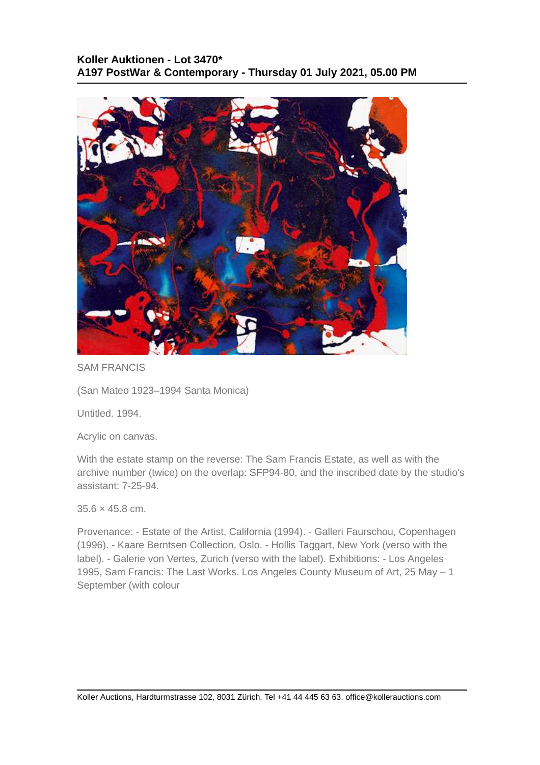## **Koller Auktionen - Lot 3470\* A197 PostWar & Contemporary - Thursday 01 July 2021, 05.00 PM**



SAM FRANCIS

(San Mateo 1923–1994 Santa Monica)

Untitled. 1994.

Acrylic on canvas.

With the estate stamp on the reverse: The Sam Francis Estate, as well as with the archive number (twice) on the overlap: SFP94-80, and the inscribed date by the studio's assistant: 7-25-94.

35.6 × 45.8 cm.

Provenance: - Estate of the Artist, California (1994). - Galleri Faurschou, Copenhagen (1996). - Kaare Berntsen Collection, Oslo. - Hollis Taggart, New York (verso with the label). - Galerie von Vertes, Zurich (verso with the label). Exhibitions: - Los Angeles 1995, Sam Francis: The Last Works. Los Angeles County Museum of Art, 25 May – 1 September (with colour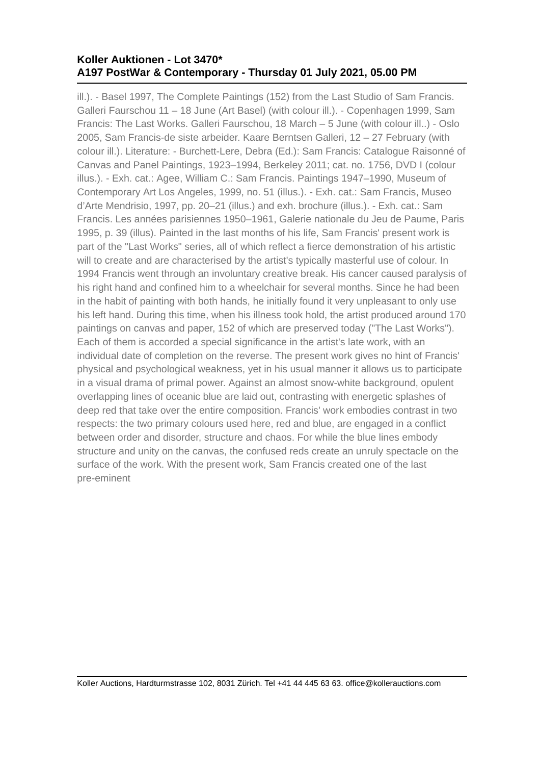## **Koller Auktionen - Lot 3470\* A197 PostWar & Contemporary - Thursday 01 July 2021, 05.00 PM**

ill.). - Basel 1997, The Complete Paintings (152) from the Last Studio of Sam Francis. Galleri Faurschou 11 – 18 June (Art Basel) (with colour ill.). - Copenhagen 1999, Sam Francis: The Last Works. Galleri Faurschou, 18 March – 5 June (with colour ill..) - Oslo 2005, Sam Francis-de siste arbeider. Kaare Berntsen Galleri, 12 – 27 February (with colour ill.). Literature: - Burchett-Lere, Debra (Ed.): Sam Francis: Catalogue Raisonné of Canvas and Panel Paintings, 1923–1994, Berkeley 2011; cat. no. 1756, DVD I (colour illus.). - Exh. cat.: Agee, William C.: Sam Francis. Paintings 1947–1990, Museum of Contemporary Art Los Angeles, 1999, no. 51 (illus.). - Exh. cat.: Sam Francis, Museo d'Arte Mendrisio, 1997, pp. 20–21 (illus.) and exh. brochure (illus.). - Exh. cat.: Sam Francis. Les années parisiennes 1950–1961, Galerie nationale du Jeu de Paume, Paris 1995, p. 39 (illus). Painted in the last months of his life, Sam Francis' present work is part of the "Last Works" series, all of which reflect a fierce demonstration of his artistic will to create and are characterised by the artist's typically masterful use of colour. In 1994 Francis went through an involuntary creative break. His cancer caused paralysis of his right hand and confined him to a wheelchair for several months. Since he had been in the habit of painting with both hands, he initially found it very unpleasant to only use his left hand. During this time, when his illness took hold, the artist produced around 170 paintings on canvas and paper, 152 of which are preserved today ("The Last Works"). Each of them is accorded a special significance in the artist's late work, with an individual date of completion on the reverse. The present work gives no hint of Francis' physical and psychological weakness, yet in his usual manner it allows us to participate in a visual drama of primal power. Against an almost snow-white background, opulent overlapping lines of oceanic blue are laid out, contrasting with energetic splashes of deep red that take over the entire composition. Francis' work embodies contrast in two respects: the two primary colours used here, red and blue, are engaged in a conflict between order and disorder, structure and chaos. For while the blue lines embody structure and unity on the canvas, the confused reds create an unruly spectacle on the surface of the work. With the present work, Sam Francis created one of the last pre-eminent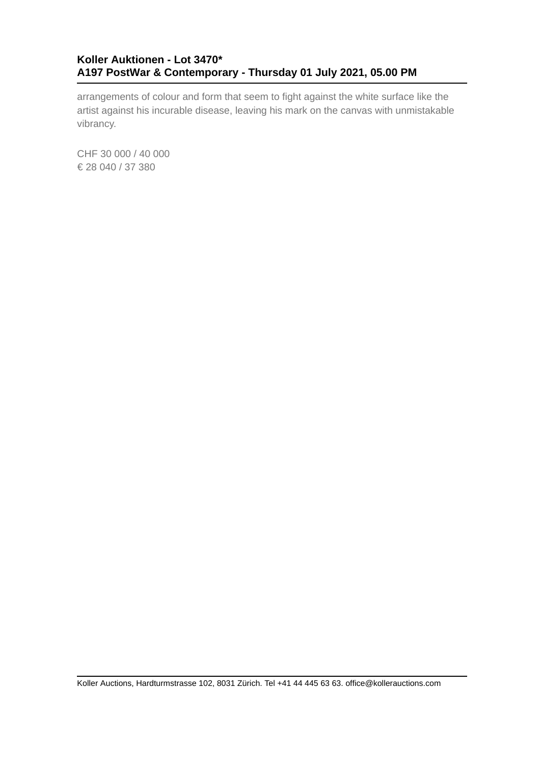## **Koller Auktionen - Lot 3470\* A197 PostWar & Contemporary - Thursday 01 July 2021, 05.00 PM**

arrangements of colour and form that seem to fight against the white surface like the artist against his incurable disease, leaving his mark on the canvas with unmistakable vibrancy.

CHF 30 000 / 40 000 € 28 040 / 37 380

Koller Auctions, Hardturmstrasse 102, 8031 Zürich. Tel +41 44 445 63 63. office@kollerauctions.com